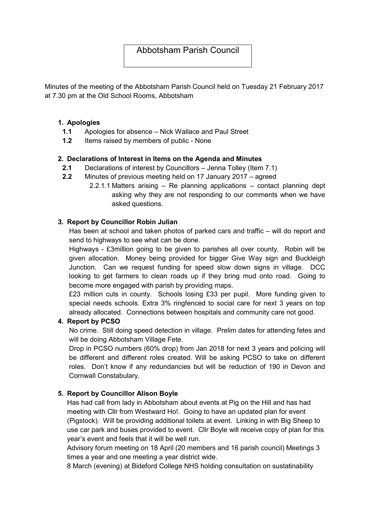# Abbotsham Parish Council

Minutes of the meeting of the Abbotsham Parish Council held on Tuesday 21 February 2017 at 7.30 pm at the Old School Rooms, Abbotsham

#### 1. Apologies

- 1.1 Apologies for absence Nick Wallace and Paul Street
- 1.2 Items raised by members of public None

### 2. Declarations of Interest in Items on the Agenda and Minutes

- 2.1 Declarations of interest by Councillors Jenna Tolley (Item 7.1)
- 2.2 Minutes of previous meeting held on 17 January 2017 agreed
	- 2.2.1.1 Matters arising Re planning applications contact planning dept asking why they are not responding to our comments when we have asked questions.

### 3. Report by Councillor Robin Julian

Has been at school and taken photos of parked cars and traffic – will do report and send to highways to see what can be done.

Highways - £3million going to be given to parishes all over county. Robin will be given allocation. Money being provided for bigger Give Way sign and Buckleigh Junction. Can we request funding for speed slow down signs in village. DCC looking to get farmers to clean roads up if they bring mud onto road. Going to become more engaged with parish by providing maps.

£23 million cuts in county. Schools losing £33 per pupil. More funding given to special needs schools. Extra 3% ringfenced to social care for next 3 years on top already allocated. Connections between hospitals and community care not good.

#### 4. Report by PCSO

No crime. Still doing speed detection in village. Prelim dates for attending fetes and will be doing Abbotsham Village Fete.

Drop in PCSO numbers (60% drop) from Jan 2018 for next 3 years and policing will be different and different roles created. Will be asking PCSO to take on different roles. Don't know if any redundancies but will be reduction of 190 in Devon and Cornwall Constabulary.

### 5. Report by Councillor Alison Boyle

Has had call from lady in Abbotsham about events at Pig on the Hill and has had meeting with Cllr from Westward Ho!. Going to have an updated plan for event (Pigstock). Will be providing additional toilets at event. Linking in with Big Sheep to use car park and buses provided to event. Cllr Boyle will receive copy of plan for this year's event and feels that it will be well run.

Advisory forum meeting on 18 April (20 members and 16 parish council) Meetings 3 times a year and one meeting a year district wide.

8 March (evening) at Bideford College NHS holding consultation on sustatinability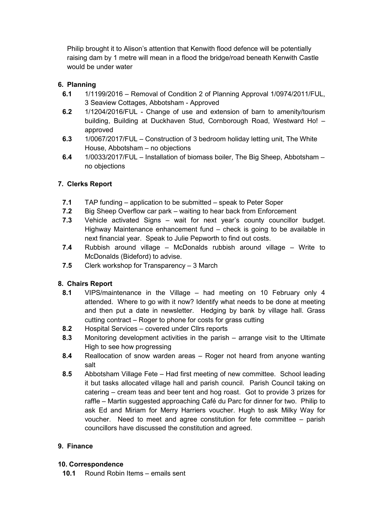Philip brought it to Alison's attention that Kenwith flood defence will be potentially raising dam by 1 metre will mean in a flood the bridge/road beneath Kenwith Castle would be under water

# 6. Planning

- 6.1 1/1199/2016 Removal of Condition 2 of Planning Approval 1/0974/2011/FUL, 3 Seaview Cottages, Abbotsham - Approved
- 6.2 1/1204/2016/FUL Change of use and extension of barn to amenity/tourism building, Building at Duckhaven Stud, Cornborough Road, Westward Ho! – approved
- 6.3 1/0067/2017/FUL Construction of 3 bedroom holiday letting unit, The White House, Abbotsham – no objections
- 6.4 1/0033/2017/FUL Installation of biomass boiler, The Big Sheep, Abbotsham no objections

# 7. Clerks Report

- 7.1 TAP funding application to be submitted speak to Peter Soper
- 7.2 Big Sheep Overflow car park waiting to hear back from Enforcement
- 7.3 Vehicle activated Signs wait for next year's county councillor budget. Highway Maintenance enhancement fund – check is going to be available in next financial year. Speak to Julie Pepworth to find out costs.
- 7.4 Rubbish around village McDonalds rubbish around village Write to McDonalds (Bideford) to advise.
- 7.5 Clerk workshop for Transparency 3 March

# 8. Chairs Report

- 8.1 VIPS/maintenance in the Village had meeting on 10 February only 4 attended. Where to go with it now? Identify what needs to be done at meeting and then put a date in newsletter. Hedging by bank by village hall. Grass cutting contract – Roger to phone for costs for grass cutting
- 8.2 Hospital Services covered under Cllrs reports
- 8.3 Monitoring development activities in the parish arrange visit to the Ultimate High to see how progressing
- 8.4 Reallocation of snow warden areas Roger not heard from anyone wanting salt
- 8.5 Abbotsham Village Fete Had first meeting of new committee. School leading it but tasks allocated village hall and parish council. Parish Council taking on catering – cream teas and beer tent and hog roast. Got to provide 3 prizes for raffle – Martin suggested approaching Café du Parc for dinner for two. Philip to ask Ed and Miriam for Merry Harriers voucher. Hugh to ask Milky Way for voucher. Need to meet and agree constitution for fete committee – parish councillors have discussed the constitution and agreed.

# 9. Finance

### 10. Correspondence

10.1 Round Robin Items – emails sent